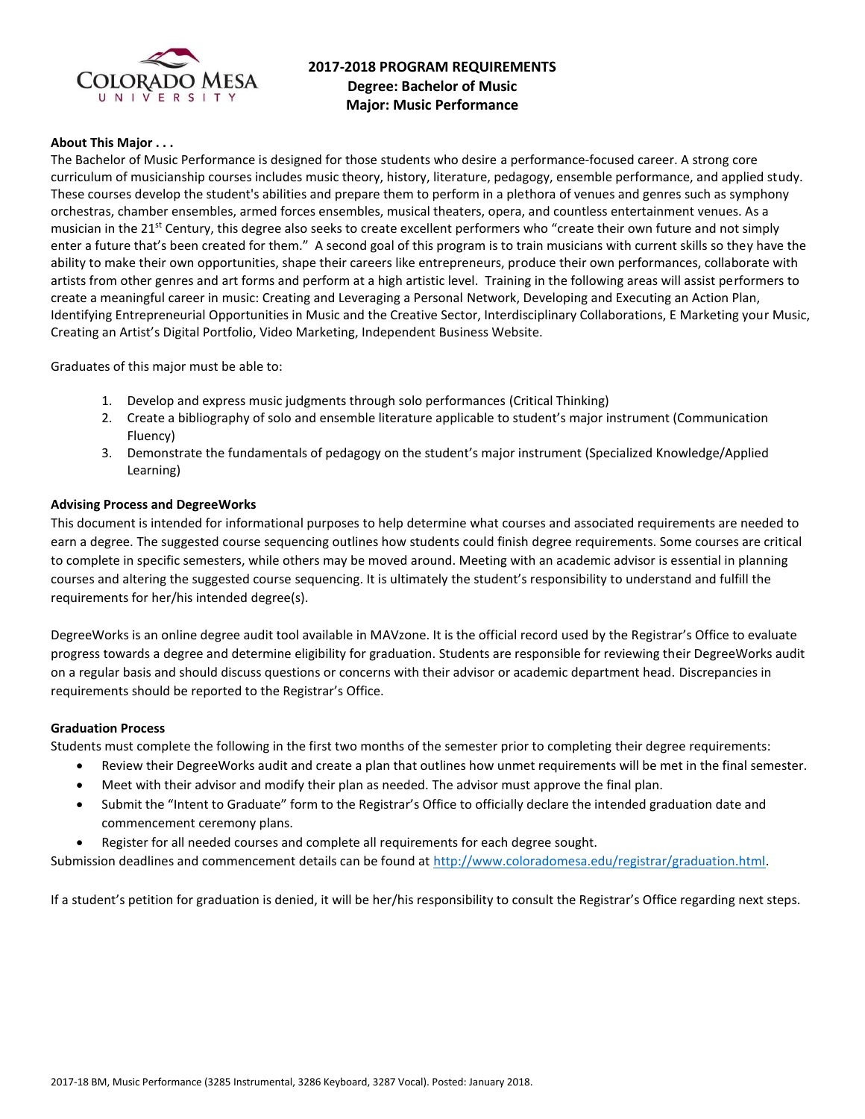

# **2017-2018 PROGRAM REQUIREMENTS Degree: Bachelor of Music Major: Music Performance**

### **About This Major . . .**

The Bachelor of Music Performance is designed for those students who desire a performance-focused career. A strong core curriculum of musicianship courses includes music theory, history, literature, pedagogy, ensemble performance, and applied study. These courses develop the student's abilities and prepare them to perform in a plethora of venues and genres such as symphony orchestras, chamber ensembles, armed forces ensembles, musical theaters, opera, and countless entertainment venues. As a musician in the 21<sup>st</sup> Century, this degree also seeks to create excellent performers who "create their own future and not simply enter a future that's been created for them." A second goal of this program is to train musicians with current skills so they have the ability to make their own opportunities, shape their careers like entrepreneurs, produce their own performances, collaborate with artists from other genres and art forms and perform at a high artistic level. Training in the following areas will assist performers to create a meaningful career in music: Creating and Leveraging a Personal Network, Developing and Executing an Action Plan, Identifying Entrepreneurial Opportunities in Music and the Creative Sector, Interdisciplinary Collaborations, E Marketing your Music, Creating an Artist's Digital Portfolio, Video Marketing, Independent Business Website.

Graduates of this major must be able to:

- 1. Develop and express music judgments through solo performances (Critical Thinking)
- 2. Create a bibliography of solo and ensemble literature applicable to student's major instrument (Communication Fluency)
- 3. Demonstrate the fundamentals of pedagogy on the student's major instrument (Specialized Knowledge/Applied Learning)

#### **Advising Process and DegreeWorks**

This document is intended for informational purposes to help determine what courses and associated requirements are needed to earn a degree. The suggested course sequencing outlines how students could finish degree requirements. Some courses are critical to complete in specific semesters, while others may be moved around. Meeting with an academic advisor is essential in planning courses and altering the suggested course sequencing. It is ultimately the student's responsibility to understand and fulfill the requirements for her/his intended degree(s).

DegreeWorks is an online degree audit tool available in MAVzone. It is the official record used by the Registrar's Office to evaluate progress towards a degree and determine eligibility for graduation. Students are responsible for reviewing their DegreeWorks audit on a regular basis and should discuss questions or concerns with their advisor or academic department head. Discrepancies in requirements should be reported to the Registrar's Office.

#### **Graduation Process**

Students must complete the following in the first two months of the semester prior to completing their degree requirements:

- Review their DegreeWorks audit and create a plan that outlines how unmet requirements will be met in the final semester.
- Meet with their advisor and modify their plan as needed. The advisor must approve the final plan.
- Submit the "Intent to Graduate" form to the Registrar's Office to officially declare the intended graduation date and commencement ceremony plans.
- Register for all needed courses and complete all requirements for each degree sought.

Submission deadlines and commencement details can be found at [http://www.coloradomesa.edu/registrar/graduation.html.](http://www.coloradomesa.edu/registrar/graduation.html)

If a student's petition for graduation is denied, it will be her/his responsibility to consult the Registrar's Office regarding next steps.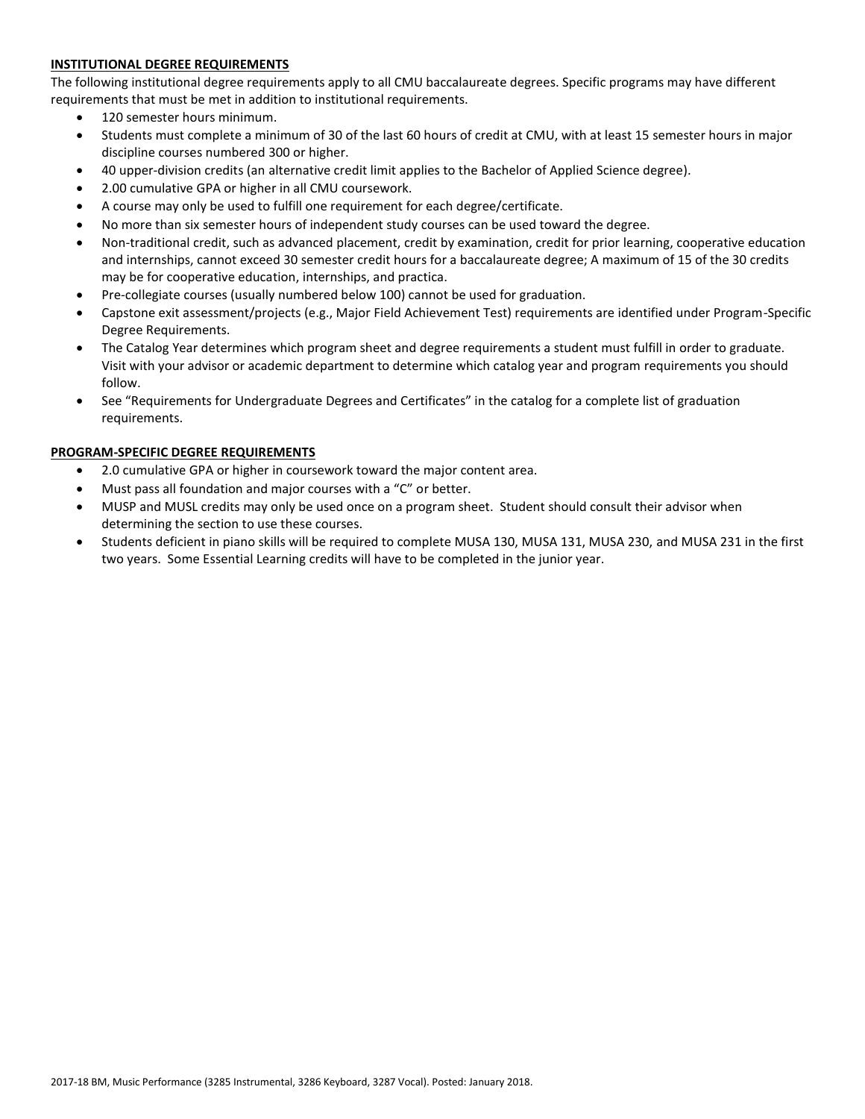## **INSTITUTIONAL DEGREE REQUIREMENTS**

The following institutional degree requirements apply to all CMU baccalaureate degrees. Specific programs may have different requirements that must be met in addition to institutional requirements.

- 120 semester hours minimum.
- Students must complete a minimum of 30 of the last 60 hours of credit at CMU, with at least 15 semester hours in major discipline courses numbered 300 or higher.
- 40 upper-division credits (an alternative credit limit applies to the Bachelor of Applied Science degree).
- 2.00 cumulative GPA or higher in all CMU coursework.
- A course may only be used to fulfill one requirement for each degree/certificate.
- No more than six semester hours of independent study courses can be used toward the degree.
- Non-traditional credit, such as advanced placement, credit by examination, credit for prior learning, cooperative education and internships, cannot exceed 30 semester credit hours for a baccalaureate degree; A maximum of 15 of the 30 credits may be for cooperative education, internships, and practica.
- Pre-collegiate courses (usually numbered below 100) cannot be used for graduation.
- Capstone exit assessment/projects (e.g., Major Field Achievement Test) requirements are identified under Program-Specific Degree Requirements.
- The Catalog Year determines which program sheet and degree requirements a student must fulfill in order to graduate. Visit with your advisor or academic department to determine which catalog year and program requirements you should follow.
- See "Requirements for Undergraduate Degrees and Certificates" in the catalog for a complete list of graduation requirements.

#### **PROGRAM-SPECIFIC DEGREE REQUIREMENTS**

- 2.0 cumulative GPA or higher in coursework toward the major content area.
- Must pass all foundation and major courses with a "C" or better.
- MUSP and MUSL credits may only be used once on a program sheet. Student should consult their advisor when determining the section to use these courses.
- Students deficient in piano skills will be required to complete MUSA 130, MUSA 131, MUSA 230, and MUSA 231 in the first two years. Some Essential Learning credits will have to be completed in the junior year.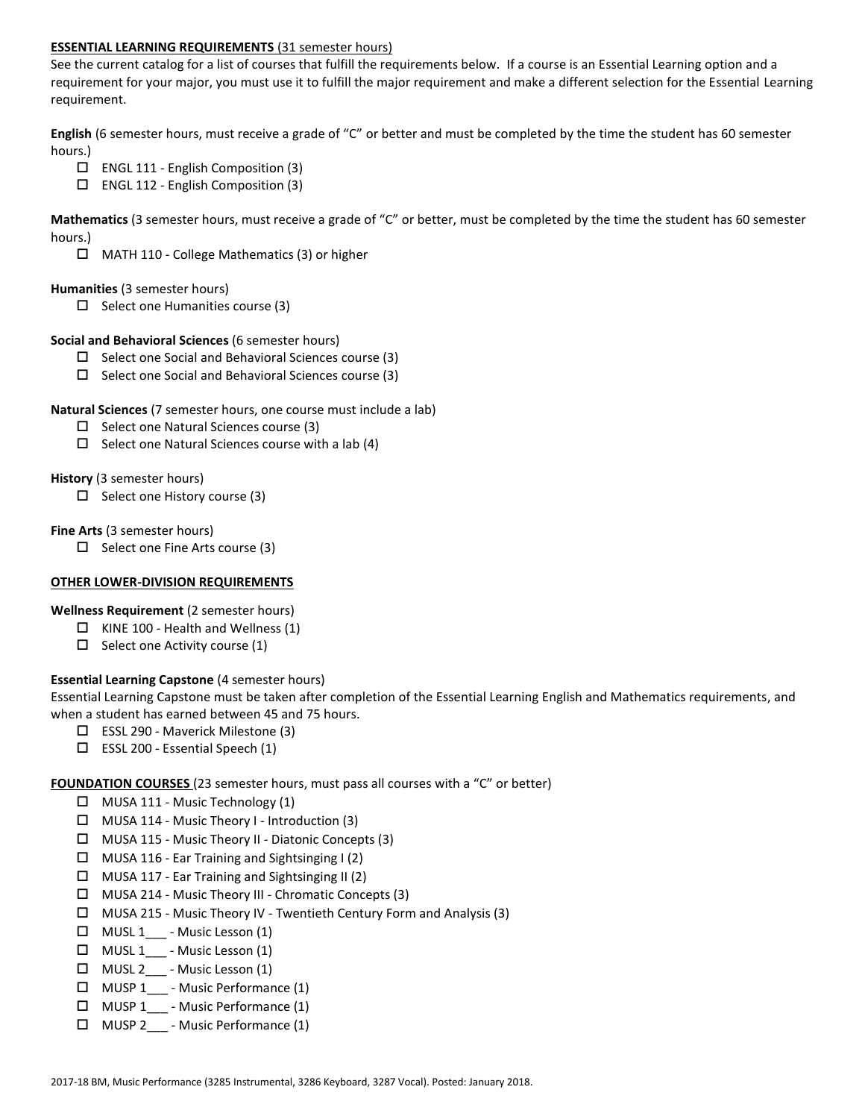### **ESSENTIAL LEARNING REQUIREMENTS** (31 semester hours)

See the current catalog for a list of courses that fulfill the requirements below. If a course is an Essential Learning option and a requirement for your major, you must use it to fulfill the major requirement and make a different selection for the Essential Learning requirement.

**English** (6 semester hours, must receive a grade of "C" or better and must be completed by the time the student has 60 semester hours.)

- $\Box$  ENGL 111 English Composition (3)
- $\Box$  ENGL 112 English Composition (3)

**Mathematics** (3 semester hours, must receive a grade of "C" or better, must be completed by the time the student has 60 semester hours.)

MATH 110 - College Mathematics (3) or higher

#### **Humanities** (3 semester hours)

 $\Box$  Select one Humanities course (3)

### **Social and Behavioral Sciences** (6 semester hours)

- $\Box$  Select one Social and Behavioral Sciences course (3)
- $\Box$  Select one Social and Behavioral Sciences course (3)

### **Natural Sciences** (7 semester hours, one course must include a lab)

- $\square$  Select one Natural Sciences course (3)
- $\Box$  Select one Natural Sciences course with a lab (4)

### **History** (3 semester hours)

 $\Box$  Select one History course (3)

### **Fine Arts** (3 semester hours)

 $\Box$  Select one Fine Arts course (3)

## **OTHER LOWER-DIVISION REQUIREMENTS**

**Wellness Requirement** (2 semester hours)

- $\Box$  KINE 100 Health and Wellness (1)
- $\square$  Select one Activity course (1)

## **Essential Learning Capstone** (4 semester hours)

Essential Learning Capstone must be taken after completion of the Essential Learning English and Mathematics requirements, and when a student has earned between 45 and 75 hours.

- ESSL 290 Maverick Milestone (3)
- $\square$  ESSL 200 Essential Speech (1)

## **FOUNDATION COURSES** (23 semester hours, must pass all courses with a "C" or better)

- $\Box$  MUSA 111 Music Technology (1)
- $\Box$  MUSA 114 Music Theory I Introduction (3)
- MUSA 115 Music Theory II Diatonic Concepts (3)
- $\Box$  MUSA 116 Ear Training and Sightsinging I (2)
- $\Box$  MUSA 117 Ear Training and Sightsinging II (2)
- MUSA 214 Music Theory III Chromatic Concepts (3)
- MUSA 215 Music Theory IV Twentieth Century Form and Analysis (3)
- $\Box$  MUSL 1<sub>\_\_\_</sub> Music Lesson (1)
- $\Box$  MUSL 1 Music Lesson (1)
- $\Box$  MUSL 2\_\_\_ Music Lesson (1)
- □ MUSP 1 Music Performance (1)
- MUSP 1\_\_\_ Music Performance (1)
- MUSP 2\_\_\_ Music Performance (1)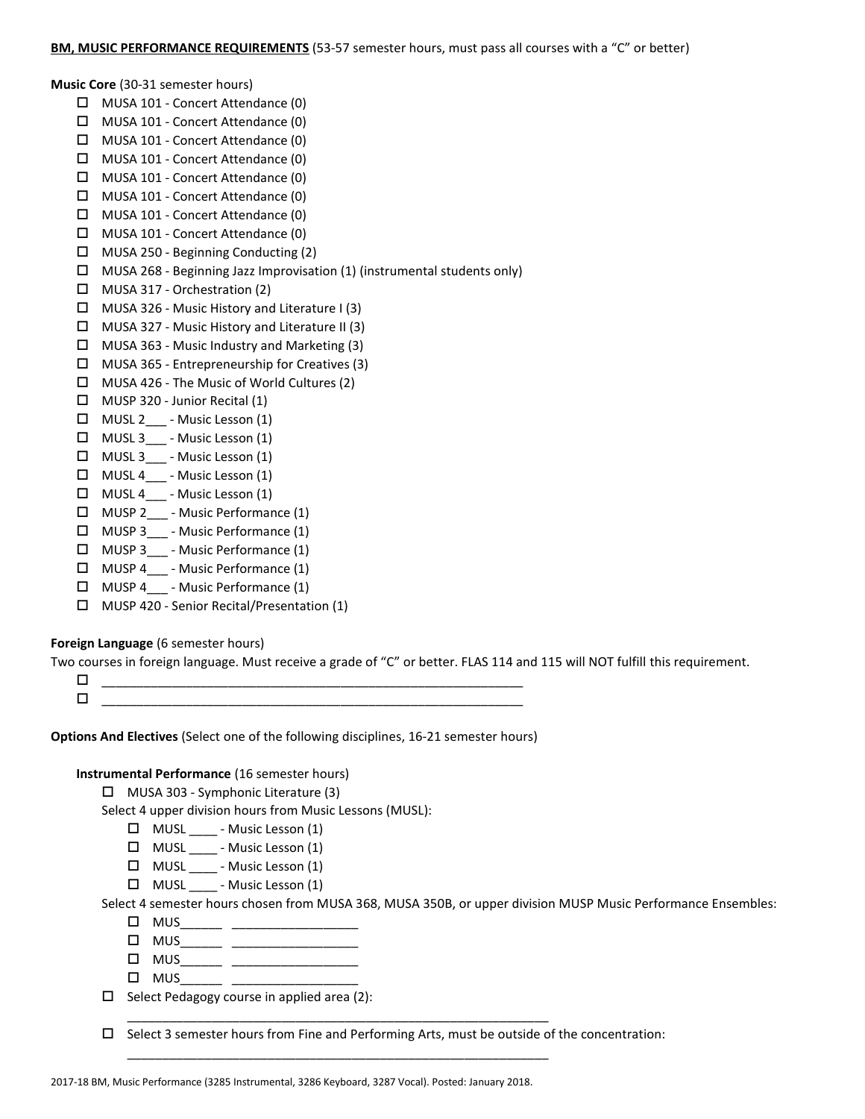#### **Music Core** (30-31 semester hours)

- MUSA 101 Concert Attendance (0)
- MUSA 101 Concert Attendance (0)
- MUSA 101 Concert Attendance (0)
- $\Box$  MUSA 101 Concert Attendance (0)
- MUSA 101 Concert Attendance (0)
- MUSA 101 Concert Attendance (0)
- MUSA 101 Concert Attendance (0)
- MUSA 101 Concert Attendance (0)
- MUSA 250 Beginning Conducting (2)
- $\Box$  MUSA 268 Beginning Jazz Improvisation (1) (instrumental students only)
- □ MUSA 317 Orchestration (2)
- $\Box$  MUSA 326 Music History and Literature I (3)
- $\Box$  MUSA 327 Music History and Literature II (3)
- $\Box$  MUSA 363 Music Industry and Marketing (3)
- MUSA 365 Entrepreneurship for Creatives (3)
- MUSA 426 The Music of World Cultures (2)
- MUSP 320 Junior Recital (1)
- MUSL 2\_\_\_ Music Lesson (1)
- $\Box$  MUSL 3 Music Lesson (1)
- $\Box$  MUSL 3 Music Lesson (1)
- $\Box$  MUSL 4 Music Lesson (1)
- $\Box$  MUSL 4 Music Lesson (1)
- □ MUSP 2 Music Performance (1)
- $\Box$  MUSP 3 Music Performance (1)
- MUSP 3\_\_\_ Music Performance (1)
- □ MUSP 4 Music Performance (1)
- □ MUSP 4 Music Performance (1)
- MUSP 420 Senior Recital/Presentation (1)

## **Foreign Language** (6 semester hours)

Two courses in foreign language. Must receive a grade of "C" or better. FLAS 114 and 115 will NOT fulfill this requirement.

 \_\_\_\_\_\_\_\_\_\_\_\_\_\_\_\_\_\_\_\_\_\_\_\_\_\_\_\_\_\_\_\_\_\_\_\_\_\_\_\_\_\_\_\_\_\_\_\_\_\_\_\_\_\_\_\_\_\_\_\_ \_\_\_\_\_\_\_\_\_\_\_\_\_\_\_\_\_\_\_\_\_\_\_\_\_\_\_\_\_\_\_\_\_\_\_\_\_\_\_\_\_\_\_\_\_\_\_\_\_\_\_\_\_\_\_\_\_\_\_\_

**Options And Electives** (Select one of the following disciplines, 16-21 semester hours)

## **Instrumental Performance** (16 semester hours)

MUSA 303 - Symphonic Literature (3)

Select 4 upper division hours from Music Lessons (MUSL):

- MUSL \_\_\_\_ Music Lesson (1)
- MUSL \_\_\_\_ Music Lesson (1)
- MUSL \_\_\_\_ Music Lesson (1)
- $\Box$  MUSL  $\Box$  Music Lesson (1)

Select 4 semester hours chosen from MUSA 368, MUSA 350B, or upper division MUSP Music Performance Ensembles:

- $\Box$  MUS\_\_\_\_\_\_\_ \_\_\_\_\_\_\_\_\_\_\_\_\_\_\_\_\_\_\_\_\_\_
- $\Box$  MUS\_\_\_\_\_\_ \_\_\_\_\_\_\_\_\_\_\_\_\_\_\_\_\_\_\_
- MUS\_\_\_\_\_\_ \_\_\_\_\_\_\_\_\_\_\_\_\_\_\_\_\_\_
- $\square$  MUS\_\_\_\_\_\_\_\_ \_\_\_

 $\Box$  Select Pedagogy course in applied area (2):

 $\square$  Select 3 semester hours from Fine and Performing Arts, must be outside of the concentration:

\_\_\_\_\_\_\_\_\_\_\_\_\_\_\_\_\_\_\_\_\_\_\_\_\_\_\_\_\_\_\_\_\_\_\_\_\_\_\_\_\_\_\_\_\_\_\_\_\_\_\_\_\_\_\_\_\_\_\_\_

\_\_\_\_\_\_\_\_\_\_\_\_\_\_\_\_\_\_\_\_\_\_\_\_\_\_\_\_\_\_\_\_\_\_\_\_\_\_\_\_\_\_\_\_\_\_\_\_\_\_\_\_\_\_\_\_\_\_\_\_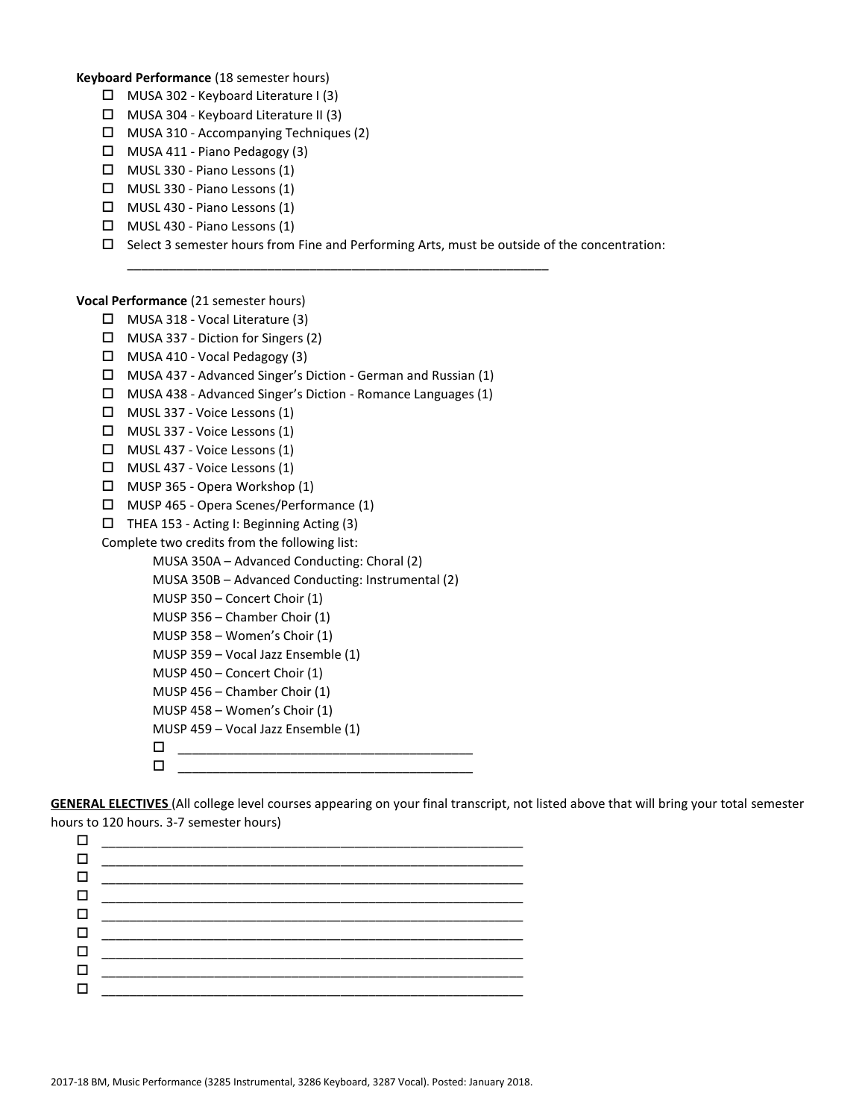#### **Keyboard Performance** (18 semester hours)

- $\Box$  MUSA 302 Keyboard Literature I (3)
- $\Box$  MUSA 304 Keyboard Literature II (3)
- MUSA 310 Accompanying Techniques (2)
- $\Box$  MUSA 411 Piano Pedagogy (3)
- MUSL 330 Piano Lessons (1)
- MUSL 330 Piano Lessons (1)
- MUSL 430 Piano Lessons (1)
- MUSL 430 Piano Lessons (1)
- $\Box$  Select 3 semester hours from Fine and Performing Arts, must be outside of the concentration:

\_\_\_\_\_\_\_\_\_\_\_\_\_\_\_\_\_\_\_\_\_\_\_\_\_\_\_\_\_\_\_\_\_\_\_\_\_\_\_\_\_\_\_\_\_\_\_\_\_\_\_\_\_\_\_\_\_\_\_\_

#### **Vocal Performance** (21 semester hours)

- MUSA 318 Vocal Literature (3)
- MUSA 337 Diction for Singers (2)
- MUSA 410 Vocal Pedagogy (3)
- MUSA 437 Advanced Singer's Diction German and Russian (1)
- MUSA 438 Advanced Singer's Diction Romance Languages (1)
- MUSL 337 Voice Lessons (1)
- MUSL 337 Voice Lessons (1)
- MUSL 437 Voice Lessons (1)
- MUSL 437 Voice Lessons (1)
- MUSP 365 Opera Workshop (1)
- MUSP 465 Opera Scenes/Performance (1)
- $\Box$  THEA 153 Acting I: Beginning Acting (3)

Complete two credits from the following list:

- MUSA 350A Advanced Conducting: Choral (2)
- MUSA 350B Advanced Conducting: Instrumental (2)
- MUSP 350 Concert Choir (1)
- MUSP 356 Chamber Choir (1)
- MUSP 358 Women's Choir (1)
- MUSP 359 Vocal Jazz Ensemble (1)
- MUSP 450 Concert Choir (1)
- MUSP 456 Chamber Choir (1)
- MUSP 458 Women's Choir (1)
- MUSP 459 Vocal Jazz Ensemble (1)
- $\Box$  $\blacksquare$

**GENERAL ELECTIVES** (All college level courses appearing on your final transcript, not listed above that will bring your total semester hours to 120 hours. 3-7 semester hours)

| 0 _________________________           |
|---------------------------------------|
| <b>D</b> ____________________________ |
|                                       |
| <b>O</b> ________________________     |
|                                       |
| <u>0 ________________________</u>     |
|                                       |
|                                       |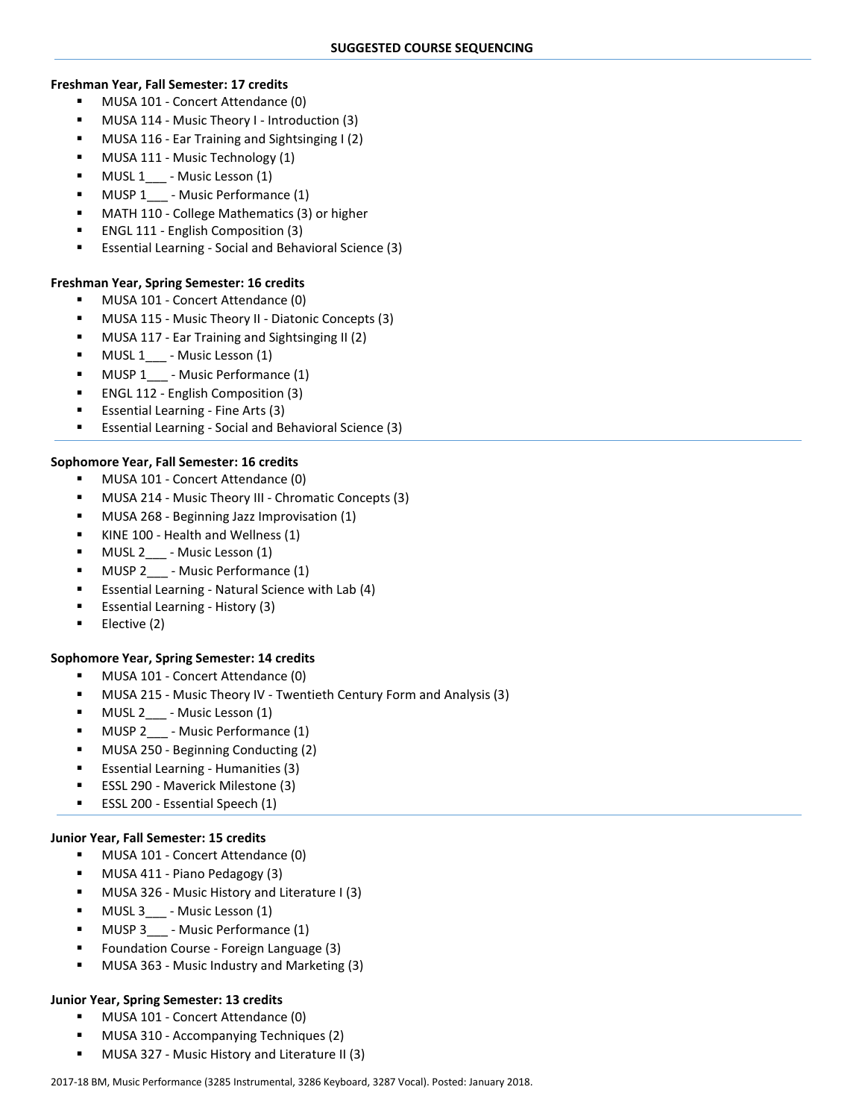#### **Freshman Year, Fall Semester: 17 credits**

- **MUSA 101 Concert Attendance (0)**
- MUSA 114 Music Theory I Introduction (3)
- MUSA 116 Ear Training and Sightsinging I (2)
- MUSA 111 Music Technology (1)
- MUSL 1\_\_\_ Music Lesson (1)
- MUSP 1 Music Performance (1)
- MATH 110 College Mathematics (3) or higher
- ENGL 111 English Composition (3)
- Essential Learning Social and Behavioral Science (3)

# **Freshman Year, Spring Semester: 16 credits**

- MUSA 101 Concert Attendance (0)
- MUSA 115 Music Theory II Diatonic Concepts (3)
- MUSA 117 Ear Training and Sightsinging II (2)
- MUSL 1\_\_\_ Music Lesson (1)
- MUSP 1 Music Performance (1)
- ENGL 112 English Composition (3)
- Essential Learning Fine Arts (3)
- Essential Learning Social and Behavioral Science (3)

## **Sophomore Year, Fall Semester: 16 credits**

- **MUSA 101 Concert Attendance (0)**
- MUSA 214 Music Theory III Chromatic Concepts (3)
- MUSA 268 Beginning Jazz Improvisation (1)
- KINE 100 Health and Wellness (1)
- MUSL 2\_\_\_ Music Lesson (1)
- MUSP 2\_\_\_ Music Performance (1)
- Essential Learning Natural Science with Lab (4)
- Essential Learning History (3)
- Elective (2)

## **Sophomore Year, Spring Semester: 14 credits**

- MUSA 101 Concert Attendance (0)
- MUSA 215 Music Theory IV Twentieth Century Form and Analysis (3)
- MUSL 2\_\_\_ Music Lesson (1)
- MUSP 2\_\_\_ Music Performance (1)
- MUSA 250 Beginning Conducting (2)
- Essential Learning Humanities (3)
- ESSL 290 Maverick Milestone (3)
- **ESSL 200 Essential Speech (1)**

## **Junior Year, Fall Semester: 15 credits**

- MUSA 101 Concert Attendance (0)
- MUSA 411 Piano Pedagogy (3)
- MUSA 326 Music History and Literature I (3)
- MUSL 3\_\_\_ Music Lesson (1)
- MUSP 3 Music Performance (1)
- Foundation Course Foreign Language (3)
- MUSA 363 Music Industry and Marketing (3)

## **Junior Year, Spring Semester: 13 credits**

- **MUSA 101 Concert Attendance (0)**
- MUSA 310 Accompanying Techniques (2)
- MUSA 327 Music History and Literature II (3)

#### 2017-18 BM, Music Performance (3285 Instrumental, 3286 Keyboard, 3287 Vocal). Posted: January 2018.